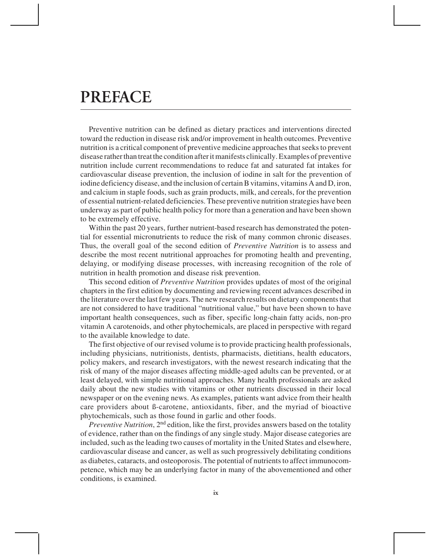## **PREFACE**

Preventive nutrition can be defined as dietary practices and interventions directed toward the reduction in disease risk and/or improvement in health outcomes. Preventive nutrition is a critical component of preventive medicine approaches that seeks to prevent disease rather than treat the condition after it manifests clinically. Examples of preventive nutrition include current recommendations to reduce fat and saturated fat intakes for cardiovascular disease prevention, the inclusion of iodine in salt for the prevention of iodine deficiency disease, and the inclusion of certain B vitamins, vitamins A and D, iron, and calcium in staple foods, such as grain products, milk, and cereals, for the prevention of essential nutrient-related deficiencies. These preventive nutrition strategies have been underway as part of public health policy for more than a generation and have been shown to be extremely effective.

Within the past 20 years, further nutrient-based research has demonstrated the potential for essential micronutrients to reduce the risk of many common chronic diseases. Thus, the overall goal of the second edition of *Preventive Nutrition* is to assess and describe the most recent nutritional approaches for promoting health and preventing, delaying, or modifying disease processes, with increasing recognition of the role of nutrition in health promotion and disease risk prevention.

This second edition of *Preventive Nutrition* provides updates of most of the original chapters in the first edition by documenting and reviewing recent advances described in the literature over the last few years. The new research results on dietary components that are not considered to have traditional "nutritional value," but have been shown to have important health consequences, such as fiber, specific long-chain fatty acids, non-pro vitamin A carotenoids, and other phytochemicals, are placed in perspective with regard to the available knowledge to date.

The first objective of our revised volume is to provide practicing health professionals, including physicians, nutritionists, dentists, pharmacists, dietitians, health educators, policy makers, and research investigators, with the newest research indicating that the risk of many of the major diseases affecting middle-aged adults can be prevented, or at least delayed, with simple nutritional approaches. Many health professionals are asked daily about the new studies with vitamins or other nutrients discussed in their local newspaper or on the evening news. As examples, patients want advice from their health care providers about ß-carotene, antioxidants, fiber, and the myriad of bioactive phytochemicals, such as those found in garlic and other foods.

*Preventive Nutrition*, 2<sup>nd</sup> edition, like the first, provides answers based on the totality of evidence, rather than on the findings of any single study. Major disease categories are included, such as the leading two causes of mortality in the United States and elsewhere, cardiovascular disease and cancer, as well as such progressively debilitating conditions as diabetes, cataracts, and osteoporosis. The potential of nutrients to affect immunocompetence, which may be an underlying factor in many of the abovementioned and other conditions, is examined.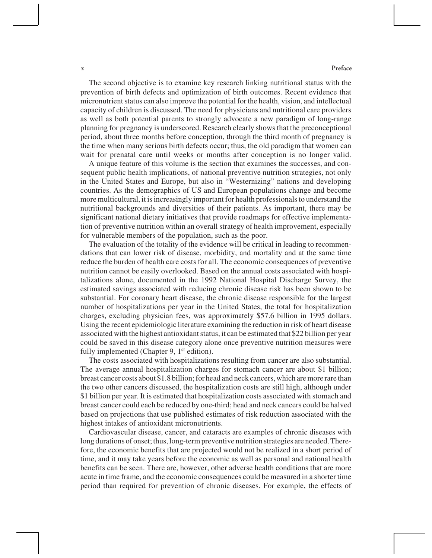The second objective is to examine key research linking nutritional status with the prevention of birth defects and optimization of birth outcomes. Recent evidence that micronutrient status can also improve the potential for the health, vision, and intellectual capacity of children is discussed. The need for physicians and nutritional care providers as well as both potential parents to strongly advocate a new paradigm of long-range planning for pregnancy is underscored. Research clearly shows that the preconceptional period, about three months before conception, through the third month of pregnancy is the time when many serious birth defects occur; thus, the old paradigm that women can wait for prenatal care until weeks or months after conception is no longer valid.

A unique feature of this volume is the section that examines the successes, and consequent public health implications, of national preventive nutrition strategies, not only in the United States and Europe, but also in "Westernizing" nations and developing countries. As the demographics of US and European populations change and become more multicultural, it is increasingly important for health professionals to understand the nutritional backgrounds and diversities of their patients. As important, there may be significant national dietary initiatives that provide roadmaps for effective implementation of preventive nutrition within an overall strategy of health improvement, especially for vulnerable members of the population, such as the poor.

The evaluation of the totality of the evidence will be critical in leading to recommendations that can lower risk of disease, morbidity, and mortality and at the same time reduce the burden of health care costs for all. The economic consequences of preventive nutrition cannot be easily overlooked. Based on the annual costs associated with hospitalizations alone, documented in the 1992 National Hospital Discharge Survey, the estimated savings associated with reducing chronic disease risk has been shown to be substantial. For coronary heart disease, the chronic disease responsible for the largest number of hospitalizations per year in the United States, the total for hospitalization charges, excluding physician fees, was approximately \$57.6 billion in 1995 dollars. Using the recent epidemiologic literature examining the reduction in risk of heart disease associated with the highest antioxidant status, it can be estimated that \$22 billion per year could be saved in this disease category alone once preventive nutrition measures were fully implemented (Chapter 9,  $1<sup>st</sup>$  edition).

The costs associated with hospitalizations resulting from cancer are also substantial. The average annual hospitalization charges for stomach cancer are about \$1 billion; breast cancer costs about \$1.8 billion; for head and neck cancers, which are more rare than the two other cancers discussed, the hospitalization costs are still high, although under \$1 billion per year. It is estimated that hospitalization costs associated with stomach and breast cancer could each be reduced by one-third; head and neck cancers could be halved based on projections that use published estimates of risk reduction associated with the highest intakes of antioxidant micronutrients.

Cardiovascular disease, cancer, and cataracts are examples of chronic diseases with long durations of onset; thus, long-term preventive nutrition strategies are needed. Therefore, the economic benefits that are projected would not be realized in a short period of time, and it may take years before the economic as well as personal and national health benefits can be seen. There are, however, other adverse health conditions that are more acute in time frame, and the economic consequences could be measured in a shorter time period than required for prevention of chronic diseases. For example, the effects of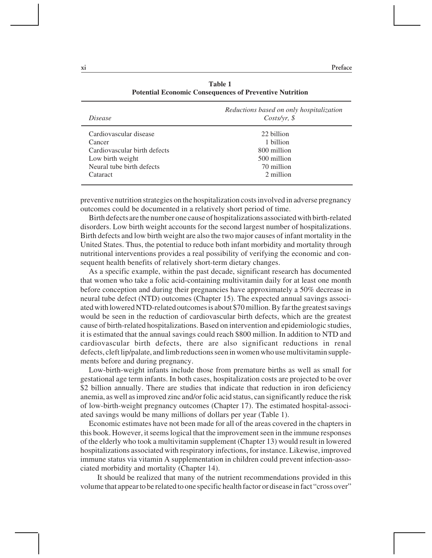| <i>Disease</i>               | Reductions based on only hospitalization<br>$Costs/yr$ , \$ |
|------------------------------|-------------------------------------------------------------|
| Cardiovascular disease       | 22 billion                                                  |
| Cancer                       | 1 billion                                                   |
| Cardiovascular birth defects | 800 million                                                 |
| Low birth weight             | 500 million                                                 |
| Neural tube birth defects    | 70 million                                                  |
| Cataract                     | 2 million                                                   |

**Table 1 Potential Economic Consequences of Preventive Nutrition**

preventive nutrition strategies on the hospitalization costs involved in adverse pregnancy outcomes could be documented in a relatively short period of time.

Birth defects are the number one cause of hospitalizations associated with birth-related disorders. Low birth weight accounts for the second largest number of hospitalizations. Birth defects and low birth weight are also the two major causes of infant mortality in the United States. Thus, the potential to reduce both infant morbidity and mortality through nutritional interventions provides a real possibility of verifying the economic and consequent health benefits of relatively short-term dietary changes.

As a specific example, within the past decade, significant research has documented that women who take a folic acid-containing multivitamin daily for at least one month before conception and during their pregnancies have approximately a 50% decrease in neural tube defect (NTD) outcomes (Chapter 15). The expected annual savings associated with lowered NTD-related outcomes is about \$70 million. By far the greatest savings would be seen in the reduction of cardiovascular birth defects, which are the greatest cause of birth-related hospitalizations. Based on intervention and epidemiologic studies, it is estimated that the annual savings could reach \$800 million. In addition to NTD and cardiovascular birth defects, there are also significant reductions in renal defects, cleft lip/palate, and limb reductions seen in women who use multivitamin supplements before and during pregnancy.

Low-birth-weight infants include those from premature births as well as small for gestational age term infants. In both cases, hospitalization costs are projected to be over \$2 billion annually. There are studies that indicate that reduction in iron deficiency anemia, as well as improved zinc and/or folic acid status, can significantly reduce the risk of low-birth-weight pregnancy outcomes (Chapter 17). The estimated hospital-associated savings would be many millions of dollars per year (Table 1).

Economic estimates have not been made for all of the areas covered in the chapters in this book. However, it seems logical that the improvement seen in the immune responses of the elderly who took a multivitamin supplement (Chapter 13) would result in lowered hospitalizations associated with respiratory infections, for instance. Likewise, improved immune status via vitamin A supplementation in children could prevent infection-associated morbidity and mortality (Chapter 14).

It should be realized that many of the nutrient recommendations provided in this volume that appear to be related to one specific health factor or disease in fact "cross over"